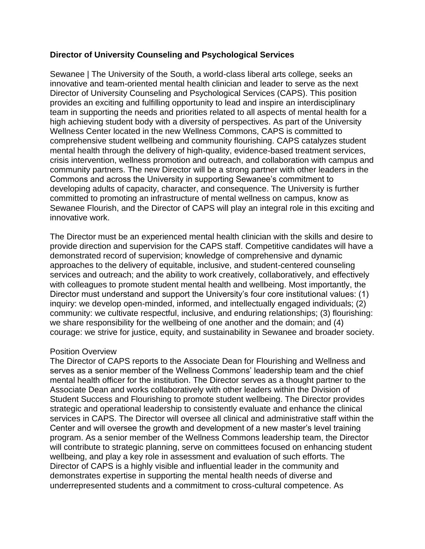## **Director of University Counseling and Psychological Services**

Sewanee | The University of the South, a world-class liberal arts college, seeks an innovative and team-oriented mental health clinician and leader to serve as the next Director of University Counseling and Psychological Services (CAPS). This position provides an exciting and fulfilling opportunity to lead and inspire an interdisciplinary team in supporting the needs and priorities related to all aspects of mental health for a high achieving student body with a diversity of perspectives. As part of the University Wellness Center located in the new Wellness Commons, CAPS is committed to comprehensive student wellbeing and community flourishing. CAPS catalyzes student mental health through the delivery of high-quality, evidence-based treatment services, crisis intervention, wellness promotion and outreach, and collaboration with campus and community partners. The new Director will be a strong partner with other leaders in the Commons and across the University in supporting Sewanee's commitment to developing adults of capacity, character, and consequence. The University is further committed to promoting an infrastructure of mental wellness on campus, know as Sewanee Flourish, and the Director of CAPS will play an integral role in this exciting and innovative work.

The Director must be an experienced mental health clinician with the skills and desire to provide direction and supervision for the CAPS staff. Competitive candidates will have a demonstrated record of supervision; knowledge of comprehensive and dynamic approaches to the delivery of equitable, inclusive, and student-centered counseling services and outreach; and the ability to work creatively, collaboratively, and effectively with colleagues to promote student mental health and wellbeing. Most importantly, the Director must understand and support the University's four core institutional values: (1) inquiry: we develop open-minded, informed, and intellectually engaged individuals; (2) community: we cultivate respectful, inclusive, and enduring relationships; (3) flourishing: we share responsibility for the wellbeing of one another and the domain; and (4) courage: we strive for justice, equity, and sustainability in Sewanee and broader society.

## Position Overview

The Director of CAPS reports to the Associate Dean for Flourishing and Wellness and serves as a senior member of the Wellness Commons' leadership team and the chief mental health officer for the institution. The Director serves as a thought partner to the Associate Dean and works collaboratively with other leaders within the Division of Student Success and Flourishing to promote student wellbeing. The Director provides strategic and operational leadership to consistently evaluate and enhance the clinical services in CAPS. The Director will oversee all clinical and administrative staff within the Center and will oversee the growth and development of a new master's level training program. As a senior member of the Wellness Commons leadership team, the Director will contribute to strategic planning, serve on committees focused on enhancing student wellbeing, and play a key role in assessment and evaluation of such efforts. The Director of CAPS is a highly visible and influential leader in the community and demonstrates expertise in supporting the mental health needs of diverse and underrepresented students and a commitment to cross-cultural competence. As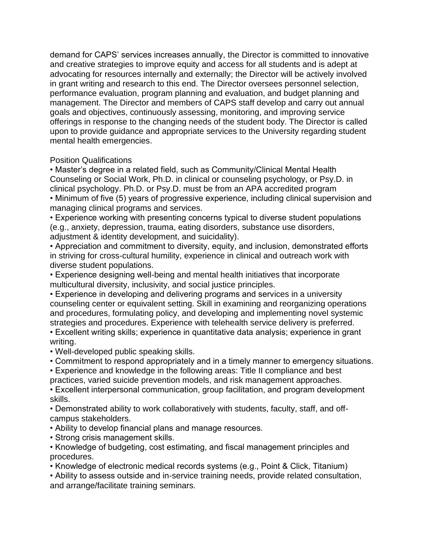demand for CAPS' services increases annually, the Director is committed to innovative and creative strategies to improve equity and access for all students and is adept at advocating for resources internally and externally; the Director will be actively involved in grant writing and research to this end. The Director oversees personnel selection, performance evaluation, program planning and evaluation, and budget planning and management. The Director and members of CAPS staff develop and carry out annual goals and objectives, continuously assessing, monitoring, and improving service offerings in response to the changing needs of the student body. The Director is called upon to provide guidance and appropriate services to the University regarding student mental health emergencies.

## Position Qualifications

• Master's degree in a related field, such as Community/Clinical Mental Health Counseling or Social Work, Ph.D. in clinical or counseling psychology, or Psy.D. in clinical psychology. Ph.D. or Psy.D. must be from an APA accredited program • Minimum of five (5) years of progressive experience, including clinical supervision and

managing clinical programs and services.

• Experience working with presenting concerns typical to diverse student populations (e.g., anxiety, depression, trauma, eating disorders, substance use disorders, adjustment & identity development, and suicidality).

• Appreciation and commitment to diversity, equity, and inclusion, demonstrated efforts in striving for cross-cultural humility, experience in clinical and outreach work with diverse student populations.

• Experience designing well-being and mental health initiatives that incorporate multicultural diversity, inclusivity, and social justice principles.

• Experience in developing and delivering programs and services in a university counseling center or equivalent setting. Skill in examining and reorganizing operations and procedures, formulating policy, and developing and implementing novel systemic strategies and procedures. Experience with telehealth service delivery is preferred.

• Excellent writing skills; experience in quantitative data analysis; experience in grant writing.

• Well-developed public speaking skills.

• Commitment to respond appropriately and in a timely manner to emergency situations.

• Experience and knowledge in the following areas: Title II compliance and best

practices, varied suicide prevention models, and risk management approaches.

• Excellent interpersonal communication, group facilitation, and program development skills.

• Demonstrated ability to work collaboratively with students, faculty, staff, and offcampus stakeholders.

• Ability to develop financial plans and manage resources.

• Strong crisis management skills.

• Knowledge of budgeting, cost estimating, and fiscal management principles and procedures.

• Knowledge of electronic medical records systems (e.g., Point & Click, Titanium)

• Ability to assess outside and in-service training needs, provide related consultation, and arrange/facilitate training seminars.